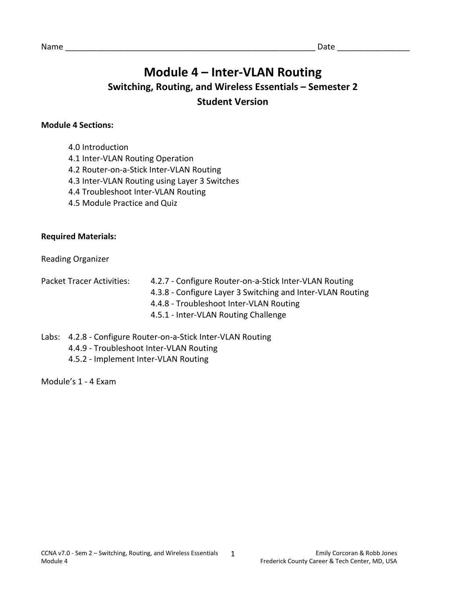# **Module 4 – Inter-VLAN Routing Switching, Routing, and Wireless Essentials – Semester 2 Student Version**

#### **Module 4 Sections:**

- 4.0 Introduction
- 4.1 Inter-VLAN Routing Operation
- 4.2 Router-on-a-Stick Inter-VLAN Routing
- 4.3 Inter-VLAN Routing using Layer 3 Switches
- 4.4 Troubleshoot Inter-VLAN Routing
- 4.5 Module Practice and Quiz

#### **Required Materials:**

Reading Organizer

- Packet Tracer Activities: 4.2.7 Configure Router-on-a-Stick Inter-VLAN Routing
	-
	- 4.3.8 Configure Layer 3 Switching and Inter-VLAN Routing
	- 4.4.8 Troubleshoot Inter-VLAN Routing
	- 4.5.1 Inter-VLAN Routing Challenge
- Labs: 4.2.8 Configure Router-on-a-Stick Inter-VLAN Routing
	- 4.4.9 Troubleshoot Inter-VLAN Routing
	- 4.5.2 Implement Inter-VLAN Routing

Module's 1 - 4 Exam

1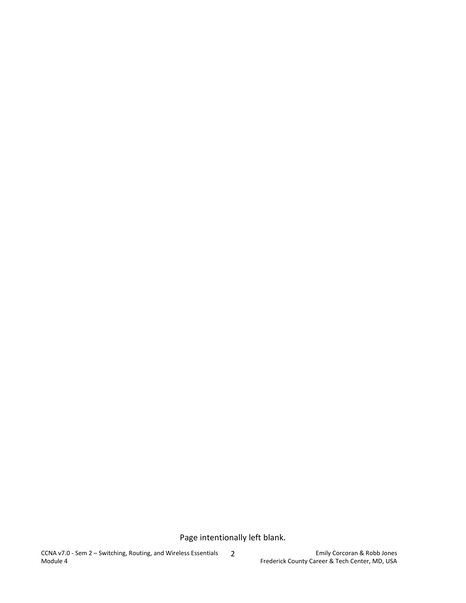Page intentionally left blank.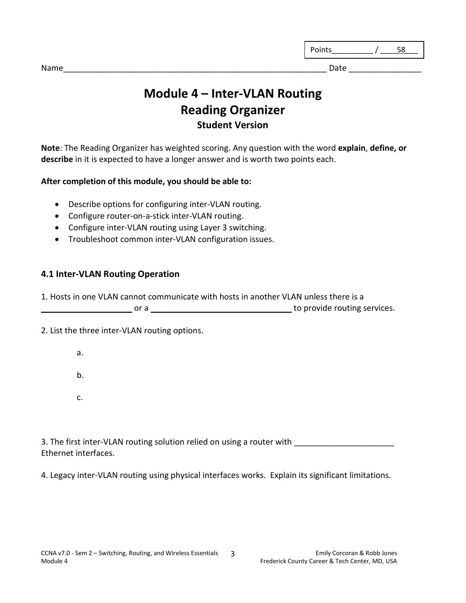| oints' |  |
|--------|--|
|        |  |

# **Module 4 – Inter-VLAN Routing Reading Organizer Student Version**

**Note**: The Reading Organizer has weighted scoring. Any question with the word **explain**, **define, or describe** in it is expected to have a longer answer and is worth two points each.

#### **After completion of this module, you should be able to:**

- Describe options for configuring inter-VLAN routing.
- Configure router-on-a-stick inter-VLAN routing.
- Configure inter-VLAN routing using Layer 3 switching.
- Troubleshoot common inter-VLAN configuration issues.

## **4.1 Inter-VLAN Routing Operation**

1. Hosts in one VLAN cannot communicate with hosts in another VLAN unless there is a example 2 and 2 and 2 and 2 and 2 and 2 and 2 and 2 and 2 and 2 and 2 and 2 and 2 and 2 and 2 and 2 and 2 and 2 and 2 and 2 and 2 and 2 and 2 and 2 and 2 and 2 and 2 and 2 and 2 and 2 and 2 and 2 and 2 and 2 and 2 and 2 an

2. List the three inter-VLAN routing options.

- a.
- b.
- c.

3. The first inter-VLAN routing solution relied on using a router with **with** with the same of the same of the same Ethernet interfaces.

4. Legacy inter-VLAN routing using physical interfaces works. Explain its significant limitations.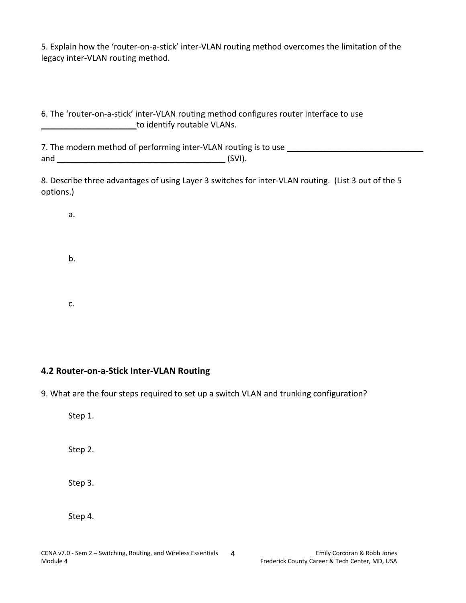5. Explain how the 'router-on-a-stick' inter-VLAN routing method overcomes the limitation of the legacy inter-VLAN routing method.

6. The 'router-on-a-stick' inter-VLAN routing method configures router interface to use \_\_\_\_\_\_\_\_\_\_\_\_\_\_\_\_\_\_\_\_\_to identify routable VLANs.

7. The modern method of performing inter-VLAN routing is to use \_\_\_\_\_\_\_\_\_\_\_\_\_\_\_\_ and \_\_\_\_\_\_\_\_\_\_\_\_\_\_\_\_\_\_\_\_\_\_\_\_\_\_\_\_\_\_\_\_\_\_\_\_\_ (SVI).

8. Describe three advantages of using Layer 3 switches for inter-VLAN routing. (List 3 out of the 5 options.)

a.

b.

c.

### **4.2 Router-on-a-Stick Inter-VLAN Routing**

9. What are the four steps required to set up a switch VLAN and trunking configuration?

Step 1. Step 2. Step 3. Step 4.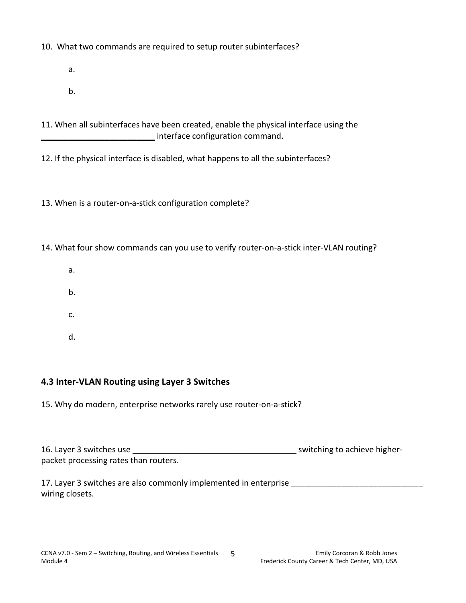- 10. What two commands are required to setup router subinterfaces?
	- a.
	- b.
- 11. When all subinterfaces have been created, enable the physical interface using the \_\_\_\_\_\_\_\_\_\_\_\_\_\_\_\_\_\_\_\_\_\_\_\_\_ interface configuration command.
- 12. If the physical interface is disabled, what happens to all the subinterfaces?
- 13. When is a router-on-a-stick configuration complete?
- 14. What four show commands can you use to verify router-on-a-stick inter-VLAN routing?
	- a.
	- b.
	- c.
	- d.

### **4.3 Inter-VLAN Routing using Layer 3 Switches**

15. Why do modern, enterprise networks rarely use router-on-a-stick?

16. Layer 3 switches use \_\_\_\_\_\_\_\_\_\_\_\_\_\_\_\_\_\_\_\_\_\_\_\_\_\_\_\_\_\_\_\_\_\_\_\_ switching to achieve higherpacket processing rates than routers.

| 17. Layer 3 switches are also commonly implemented in enterprise |  |
|------------------------------------------------------------------|--|
| wiring closets.                                                  |  |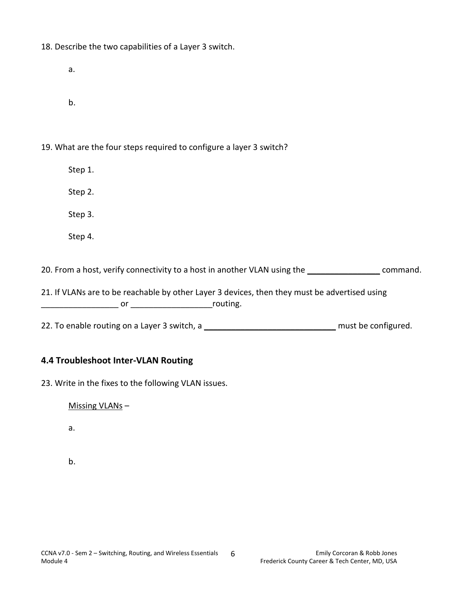- 18. Describe the two capabilities of a Layer 3 switch.
	- a.
	- b.
- 19. What are the four steps required to configure a layer 3 switch?
	- Step 1.
	- Step 2.
	- Step 3.
	- Step 4.

20. From a host, verify connectivity to a host in another VLAN using the **Langeless** command.

21. If VLANs are to be reachable by other Layer 3 devices, then they must be advertised using \_\_\_\_\_\_\_\_\_\_\_\_\_\_\_\_\_ or \_\_\_\_\_\_\_\_\_\_\_\_\_\_\_\_\_\_routing.

22. To enable routing on a Layer 3 switch, a \_\_\_\_\_\_\_\_\_\_\_\_\_\_\_\_\_\_\_\_\_\_\_\_\_\_\_\_\_ must be configured.

#### **4.4 Troubleshoot Inter-VLAN Routing**

23. Write in the fixes to the following VLAN issues.

Missing VLANs –

- a.
- b.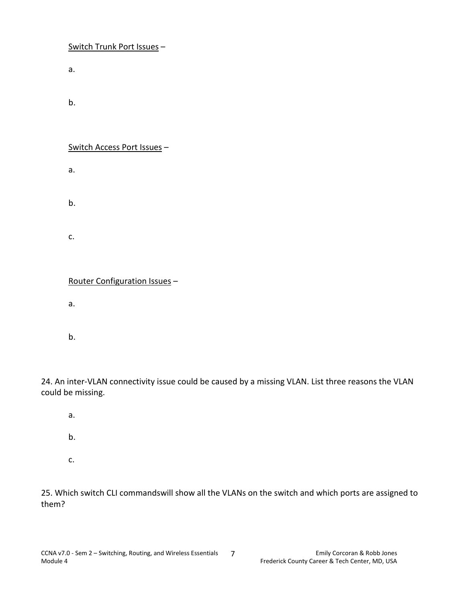Switch Trunk Port Issues –

a.

b.

Switch Access Port Issues –

a.

b.

c.

Router Configuration Issues –

a.

b.

24. An inter-VLAN connectivity issue could be caused by a missing VLAN. List three reasons the VLAN could be missing.

a.

b.

c.

25. Which switch CLI commandswill show all the VLANs on the switch and which ports are assigned to them?

7